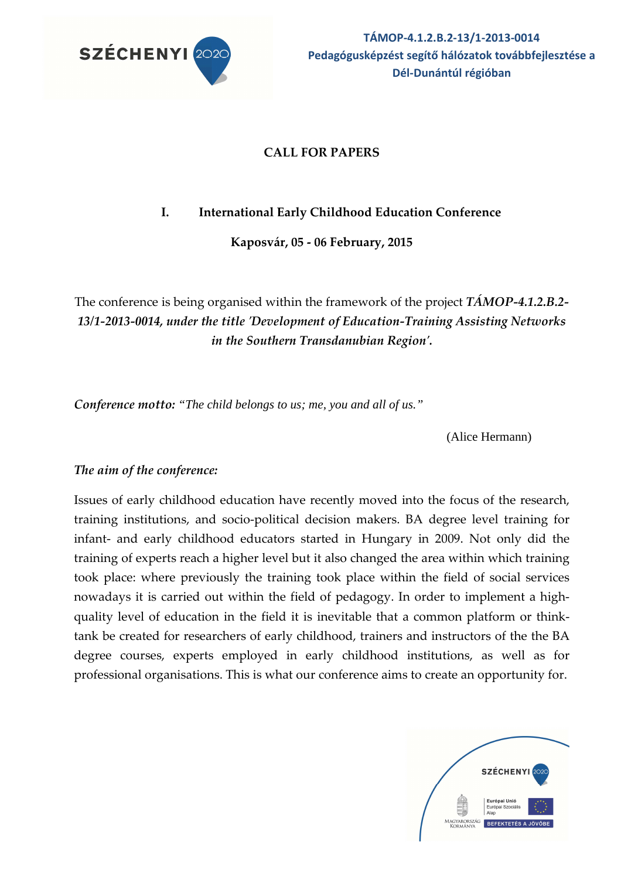

# **CALL FOR PAPERS**

# **I. International Early Childhood Education Conference**

**Kaposvár, 05 - 06 February, 2015** 

The conference is being organised within the framework of the project *TÁMOP-4.1.2.B.2- 13/1-2013-0014, under the title 'Development of Education-Training Assisting Networks in the Southern Transdanubian Region'.*

*Conference motto: "The child belongs to us; me, you and all of us."*

(Alice Hermann)

## *The aim of the conference:*

Issues of early childhood education have recently moved into the focus of the research, training institutions, and socio-political decision makers. BA degree level training for infant- and early childhood educators started in Hungary in 2009. Not only did the training of experts reach a higher level but it also changed the area within which training took place: where previously the training took place within the field of social services nowadays it is carried out within the field of pedagogy. In order to implement a highquality level of education in the field it is inevitable that a common platform or thinktank be created for researchers of early childhood, trainers and instructors of the the BA degree courses, experts employed in early childhood institutions, as well as for professional organisations. This is what our conference aims to create an opportunity for.

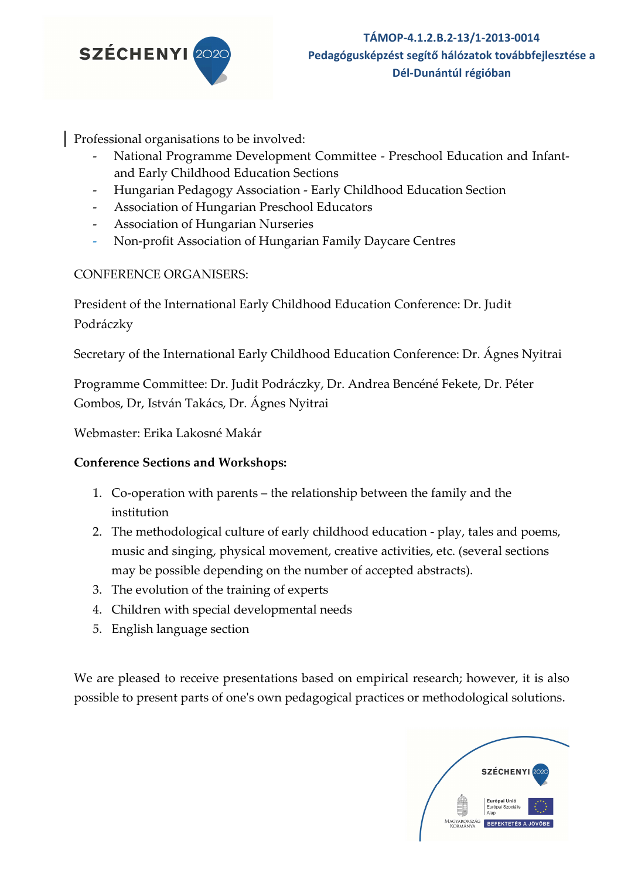

Professional organisations to be involved:

- National Programme Development Committee Preschool Education and Infantand Early Childhood Education Sections
- Hungarian Pedagogy Association Early Childhood Education Section
- Association of Hungarian Preschool Educators
- Association of Hungarian Nurseries
- Non-profit Association of Hungarian Family Daycare Centres

## CONFERENCE ORGANISERS:

President of the International Early Childhood Education Conference: Dr. Judit Podráczky

Secretary of the International Early Childhood Education Conference: Dr. Ágnes Nyitrai

Programme Committee: Dr. Judit Podráczky, Dr. Andrea Bencéné Fekete, Dr. Péter Gombos, Dr, István Takács, Dr. Ágnes Nyitrai

Webmaster: Erika Lakosné Makár

## **Conference Sections and Workshops:**

- 1. Co-operation with parents the relationship between the family and the institution
- 2. The methodological culture of early childhood education play, tales and poems, music and singing, physical movement, creative activities, etc. (several sections may be possible depending on the number of accepted abstracts).
- 3. The evolution of the training of experts
- 4. Children with special developmental needs
- 5. English language section

We are pleased to receive presentations based on empirical research; however, it is also possible to present parts of one's own pedagogical practices or methodological solutions.

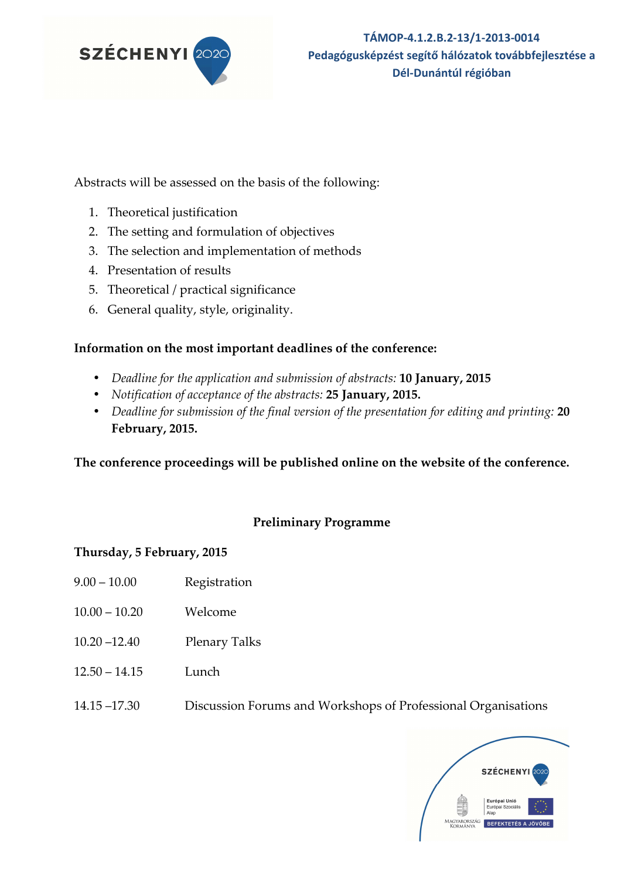

Abstracts will be assessed on the basis of the following:

- 1. Theoretical justification
- 2. The setting and formulation of objectives
- 3. The selection and implementation of methods
- 4. Presentation of results
- 5. Theoretical / practical significance
- 6. General quality, style, originality.

## **Information on the most important deadlines of the conference:**

- *Deadline for the application and submission of abstracts:* **10 January, 2015**
- *Notification of acceptance of the abstracts:* **25 January, 2015.**
- *Deadline for submission of the final version of the presentation for editing and printing:* **20 February, 2015.**

**The conference proceedings will be published online on the website of the conference.** 

## **Preliminary Programme**

## **Thursday, 5 February, 2015**

- 9.00 10.00 Registration
- 10.00 10.20 Welcome
- 10.20 –12.40 Plenary Talks
- 12.50 14.15 Lunch
- 14.15 –17.30 Discussion Forums and Workshops of Professional Organisations

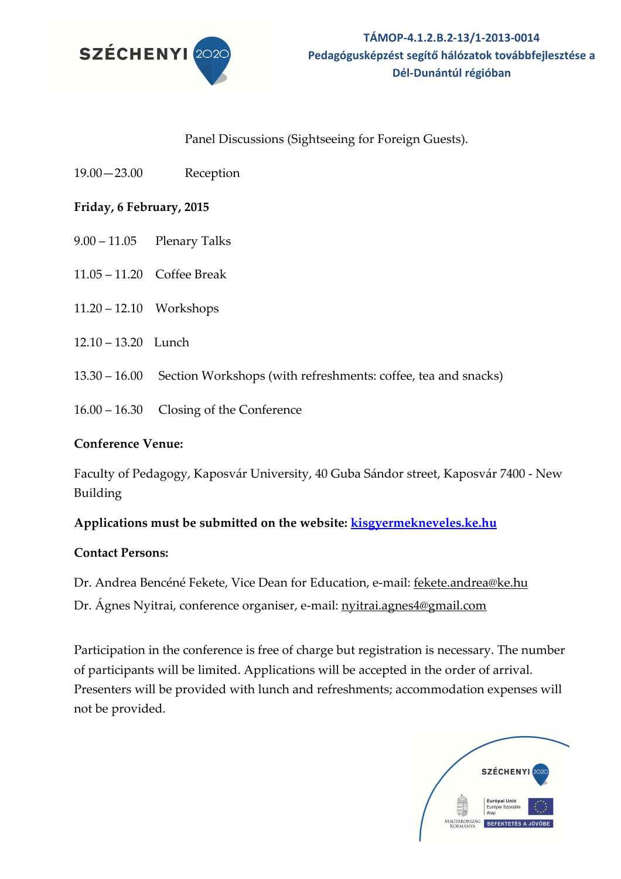

#### Panel Discussions (Sightseeing for Foreign Guests).

19.00—23.00 Reception

#### **Friday, 6 February, 2015**

- 9.00 11.05 Plenary Talks
- 11.05 11.20 Coffee Break
- 11.20 12.10 Workshops
- 12.10 13.20 Lunch
- 13.30 16.00 Section Workshops (with refreshments: coffee, tea and snacks)
- 16.00 16.30 Closing of the Conference

#### **Conference Venue:**

Faculty of Pedagogy, Kaposvár University, 40 Guba Sándor street, Kaposvár 7400 - New Building

## **Applications must be submitted on the website: kisgyermekneveles.ke.hu**

#### **Contact Persons:**

Dr. Andrea Bencéné Fekete, Vice Dean for Education, e-mail: fekete.andrea@ke.hu Dr. Ágnes Nyitrai, conference organiser, e-mail: nyitrai.agnes4@gmail.com

Participation in the conference is free of charge but registration is necessary. The number of participants will be limited. Applications will be accepted in the order of arrival. Presenters will be provided with lunch and refreshments; accommodation expenses will not be provided.